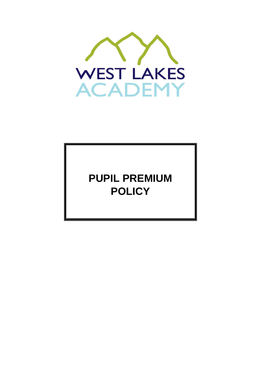

**PUPIL PREMIUM POLICY**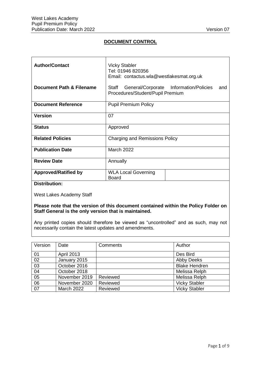# **DOCUMENT CONTROL**

| <b>Author/Contact</b>       | <b>Vicky Stabler</b><br>Tel: 01946 820356<br>Email: contactus.wla@westlakesmat.org.uk      |  |
|-----------------------------|--------------------------------------------------------------------------------------------|--|
| Document Path & Filename    | General/Corporate Information/Policies<br>Staff<br>and<br>Procedures/Student/Pupil Premium |  |
| <b>Document Reference</b>   | <b>Pupil Premium Policy</b>                                                                |  |
| <b>Version</b>              | 07                                                                                         |  |
| <b>Status</b>               | Approved                                                                                   |  |
| <b>Related Policies</b>     | Charging and Remissions Policy                                                             |  |
| <b>Publication Date</b>     | <b>March 2022</b>                                                                          |  |
| <b>Review Date</b>          | Annually                                                                                   |  |
| <b>Approved/Ratified by</b> | <b>WLA Local Governing</b><br><b>Board</b>                                                 |  |
| <b>Distribution:</b>        |                                                                                            |  |

West Lakes Academy Staff

#### **Please note that the version of this document contained within the Policy Folder on Staff General is the only version that is maintained.**

Any printed copies should therefore be viewed as "uncontrolled" and as such, may not necessarily contain the latest updates and amendments.

| Version         | Date              | Comments | Author               |
|-----------------|-------------------|----------|----------------------|
| 01              | <b>April 2013</b> |          | Des Bird             |
| 02              | January 2015      |          | <b>Abby Deeks</b>    |
| $\overline{03}$ | October 2016      |          | <b>Blake Hendren</b> |
| 04              | October 2018      |          | Melissa Relph        |
| $\overline{05}$ | November 2019     | Reviewed | Melissa Relph        |
| $\overline{06}$ | November 2020     | Reviewed | <b>Vicky Stabler</b> |
| $\overline{07}$ | <b>March 2022</b> | Reviewed | <b>Vicky Stabler</b> |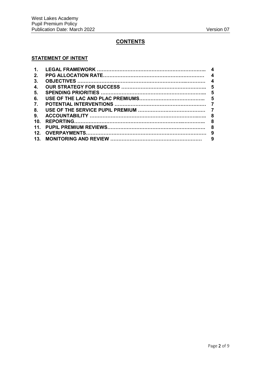# **CONTENTS**

#### **STATEMENT OF INTENT**

| 1 <sub>1</sub>  |  |
|-----------------|--|
| $2_{-}$         |  |
| 3 <sub>1</sub>  |  |
| 4.              |  |
| 5 <sub>1</sub>  |  |
| 6.              |  |
| $\mathbf{7}$ .  |  |
| 8.              |  |
| 9.              |  |
| 10 <sub>1</sub> |  |
| 11 <sub>1</sub> |  |
| 12.             |  |
|                 |  |
|                 |  |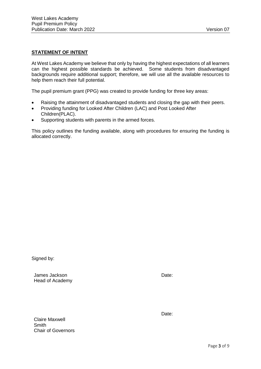#### **STATEMENT OF INTENT**

At West Lakes Academy we believe that only by having the highest expectations of all learners can the highest possible standards be achieved. Some students from disadvantaged backgrounds require additional support; therefore, we will use all the available resources to help them reach their full potential.

The pupil premium grant (PPG) was created to provide funding for three key areas:

- Raising the attainment of disadvantaged students and closing the gap with their peers.
- Providing funding for Looked After Children (LAC) and Post Looked After Children(PLAC).
- Supporting students with parents in the armed forces.

This policy outlines the funding available, along with procedures for ensuring the funding is allocated correctly.

Signed by:

James Jackson Head of Academy Date:

Claire Maxwell **Smith** Chair of Governors Date: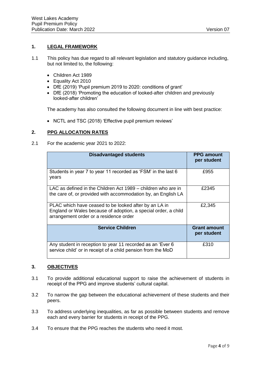# **1. LEGAL FRAMEWORK**

- 1.1 This policy has due regard to all relevant legislation and statutory guidance including, but not limited to, the following:
	- Children Act 1989
	- Equality Act 2010
	- DfE (2019) 'Pupil premium 2019 to 2020: conditions of grant'
	- DfE (2018) 'Promoting the education of looked-after children and previously looked-after children'

The academy has also consulted the following document in line with best practice:

• NCTL and TSC (2018) 'Effective pupil premium reviews'

# **2. PPG ALLOCATION RATES**

2.1 For the academic year 2021 to 2022:

| <b>Disadvantaged students</b>                                                                                                                                     | <b>PPG amount</b><br>per student   |
|-------------------------------------------------------------------------------------------------------------------------------------------------------------------|------------------------------------|
| Students in year 7 to year 11 recorded as 'FSM' in the last 6<br>years                                                                                            | £955                               |
| LAC as defined in the Children Act 1989 – children who are in<br>the care of, or provided with accommodation by, an English LA                                    | £2345                              |
| PLAC which have ceased to be looked after by an LA in<br>England or Wales because of adoption, a special order, a child<br>arrangement order or a residence order | £2,345                             |
| <b>Service Children</b>                                                                                                                                           | <b>Grant amount</b><br>per student |
| Any student in reception to year 11 recorded as an 'Ever 6<br>service child' or in receipt of a child pension from the MoD                                        | £310                               |

## **3. OBJECTIVES**

- 3.1 To provide additional educational support to raise the achievement of students in receipt of the PPG and improve students' cultural capital.
- 3.2 To narrow the gap between the educational achievement of these students and their peers.
- 3.3 To address underlying inequalities, as far as possible between students and remove each and every barrier for students in receipt of the PPG.
- 3.4 To ensure that the PPG reaches the students who need it most.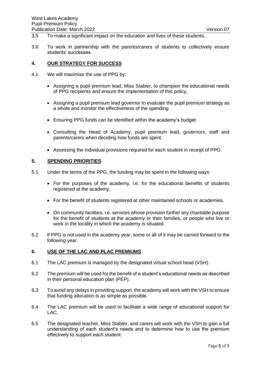- 3.5 To make a significant impact on the education and lives of these students.
- 3.6 To work in partnership with the parents/carers of students to collectively ensure students' successes.

#### **4. OUR STRATEGY FOR SUCCESS**

- 4.1 We will maximise the use of PPG by:
	- Assigning a pupil premium lead, Miss Stabler, to champion the educational needs of PPG recipients and ensure the implementation of this policy.
	- Assigning a pupil premium lead governor to evaluate the pupil premium strategy as a whole and monitor the effectiveness of the spending
	- Ensuring PPG funds can be identified within the academy's budget.
	- Consulting the Head of Academy, pupil premium lead, governors, staff and parents/carers when deciding how funds are spent.
	- Assessing the individual provisions required for each student in receipt of PPG.

#### **5. SPENDING PRIORITIES**

- 5.1 Under the terms of the PPG, the funding may be spent in the following ways:
	- For the purposes of the academy, i.e. for the educational benefits of students registered at the academy.
	- For the benefit of students registered at other maintained schools or academies.
	- On community facilities, i.e. services whose provision further any charitable purpose for the benefit of students at the academy or their families, or people who live or work in the locality in which the academy is situated.
- 5.2 If PPG is not used in the academy year, some or all of it may be carried forward to the following year.

## **6. USE OF THE LAC AND PLAC PREMIUMS**

- 6.1 The LAC premium is managed by the designated virtual school head (VSH).
- 6.2 The premium will be used for the benefit of a student's educational needs as described in their personal education plan (PEP).
- 6.3 To avoid any delays in providing support, the academy will work with the VSH to ensure that funding allocation is as simple as possible.
- 6.4 The LAC premium will be used to facilitate a wide range of educational support for LAC.
- 6.5 The designated teacher, Miss Stabler, and carers will work with the VSH to gain a full understanding of each student's needs and to determine how to use the premium effectively to support each student.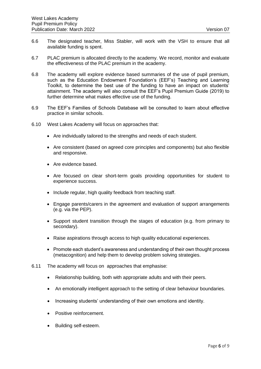- 6.6 The designated teacher, Miss Stabler, will work with the VSH to ensure that all available funding is spent.
- 6.7 PLAC premium is allocated directly to the academy. We record, monitor and evaluate the effectiveness of the PLAC premium in the academy.
- 6.8 The academy will explore evidence based summaries of the use of pupil premium, such as the Education Endowment Foundation's (EEF's) Teaching and Learning Toolkit, to determine the best use of the funding to have an impact on students' attainment. The academy will also consult the EEF's Pupil Premium Guide (2019) to further determine what makes effective use of the funding.
- 6.9 The EEF's Families of Schools Database will be consulted to learn about effective practice in similar schools.
- 6.10 West Lakes Academy will focus on approaches that:
	- Are individually tailored to the strengths and needs of each student.
	- Are consistent (based on agreed core principles and components) but also flexible and responsive.
	- Are evidence based.
	- Are focused on clear short-term goals providing opportunities for student to experience success.
	- Include regular, high quality feedback from teaching staff.
	- Engage parents/carers in the agreement and evaluation of support arrangements (e.g. via the PEP).
	- Support student transition through the stages of education (e.g. from primary to secondary).
	- Raise aspirations through access to high quality educational experiences.
	- Promote each student's awareness and understanding of their own thought process (metacognition) and help them to develop problem solving strategies.
- 6.11 The academy will focus on approaches that emphasise:
	- Relationship building, both with appropriate adults and with their peers.
	- An emotionally intelligent approach to the setting of clear behaviour boundaries.
	- Increasing students' understanding of their own emotions and identity.
	- Positive reinforcement.
	- Building self-esteem.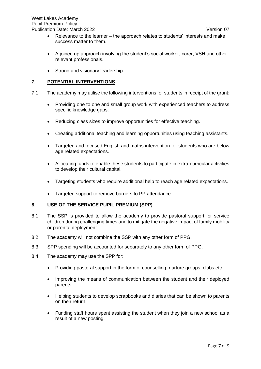- Relevance to the learner the approach relates to students' interests and make success matter to them.
- A joined up approach involving the student's social worker, carer, VSH and other relevant professionals.
- Strong and visionary leadership.

# **7. POTENTIAL INTERVENTIONS**

- 7.1 The academy may utilise the following interventions for students in receipt of the grant:
	- Providing one to one and small group work with experienced teachers to address specific knowledge gaps.
	- Reducing class sizes to improve opportunities for effective teaching.
	- Creating additional teaching and learning opportunities using teaching assistants.
	- Targeted and focused English and maths intervention for students who are below age related expectations.
	- Allocating funds to enable these students to participate in extra-curricular activities to develop their cultural capital.
	- Targeting students who require additional help to reach age related expectations.
	- Targeted support to remove barriers to PP attendance.

## **8. USE OF THE SERVICE PUPIL PREMIUM (SPP)**

- 8.1 The SSP is provided to allow the academy to provide pastoral support for service children during challenging times and to mitigate the negative impact of family mobility or parental deployment.
- 8.2 The academy will not combine the SSP with any other form of PPG.
- 8.3 SPP spending will be accounted for separately to any other form of PPG.
- 8.4 The academy may use the SPP for:
	- Providing pastoral support in the form of counselling, nurture groups, clubs etc.
	- Improving the means of communication between the student and their deployed parents .
	- Helping students to develop scrapbooks and diaries that can be shown to parents on their return.
	- Funding staff hours spent assisting the student when they join a new school as a result of a new posting.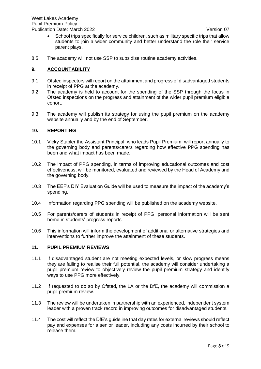- School trips specifically for service children, such as military specific trips that allow students to join a wider community and better understand the role their service parent plays.
- 8.5 The academy will not use SSP to subsidise routine academy activities.

## **9. ACCOUNTABILITY**

- 9.1 Ofsted inspectors will report on the attainment and progress of disadvantaged students in receipt of PPG at the academy.
- 9.2 The academy is held to account for the spending of the SSP through the focus in Ofsted inspections on the progress and attainment of the wider pupil premium eligible cohort.
- 9.3 The academy will publish its strategy for using the pupil premium on the academy website annually and by the end of September.

#### **10. REPORTING**

- 10.1 Vicky Stabler the Assistant Principal, who leads Pupil Premium, will report annually to the governing body and parents/carers regarding how effective PPG spending has been and what impact has been made.
- 10.2 The impact of PPG spending, in terms of improving educational outcomes and cost effectiveness, will be monitored, evaluated and reviewed by the Head of Academy and the governing body.
- 10.3 The EEF's DIY Evaluation Guide will be used to measure the impact of the academy's spending.
- 10.4 Information regarding PPG spending will be published on the academy website.
- 10.5 For parents/carers of students in receipt of PPG, personal information will be sent home in students' progress reports.
- 10.6 This information will inform the development of additional or alternative strategies and interventions to further improve the attainment of these students.

#### **11. PUPIL PREMIUM REVIEWS**

- 11.1 If disadvantaged student are not meeting expected levels, or slow progress means they are failing to realise their full potential, the academy will consider undertaking a pupil premium review to objectively review the pupil premium strategy and identify ways to use PPG more effectively.
- 11.2 If requested to do so by Ofsted, the LA or the DfE, the academy will commission a pupil premium review.
- 11.3 The review will be undertaken in partnership with an experienced, independent system leader with a proven track record in improving outcomes for disadvantaged students.
- 11.4 The cost will reflect the DfE's guideline that day rates for external reviews should reflect pay and expenses for a senior leader, including any costs incurred by their school to release them.